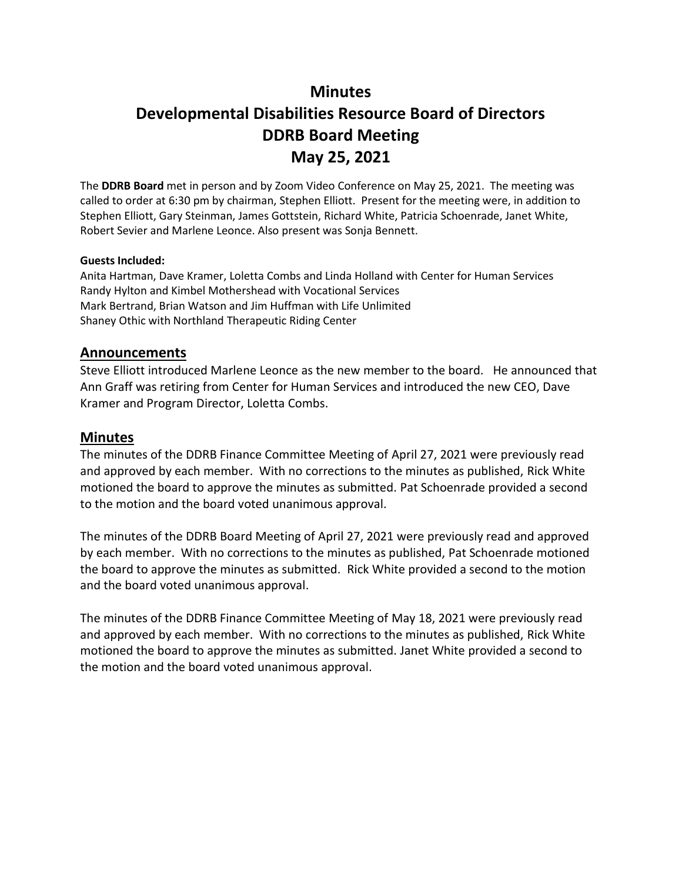## **Minutes**

# **Developmental Disabilities Resource Board of Directors DDRB Board Meeting May 25, 2021**

The **DDRB Board** met in person and by Zoom Video Conference on May 25, 2021. The meeting was called to order at 6:30 pm by chairman, Stephen Elliott. Present for the meeting were, in addition to Stephen Elliott, Gary Steinman, James Gottstein, Richard White, Patricia Schoenrade, Janet White, Robert Sevier and Marlene Leonce. Also present was Sonja Bennett.

#### **Guests Included:**

Anita Hartman, Dave Kramer, Loletta Combs and Linda Holland with Center for Human Services Randy Hylton and Kimbel Mothershead with Vocational Services Mark Bertrand, Brian Watson and Jim Huffman with Life Unlimited Shaney Othic with Northland Therapeutic Riding Center

#### **Announcements**

Steve Elliott introduced Marlene Leonce as the new member to the board. He announced that Ann Graff was retiring from Center for Human Services and introduced the new CEO, Dave Kramer and Program Director, Loletta Combs.

#### **Minutes**

The minutes of the DDRB Finance Committee Meeting of April 27, 2021 were previously read and approved by each member. With no corrections to the minutes as published, Rick White motioned the board to approve the minutes as submitted. Pat Schoenrade provided a second to the motion and the board voted unanimous approval.

The minutes of the DDRB Board Meeting of April 27, 2021 were previously read and approved by each member. With no corrections to the minutes as published, Pat Schoenrade motioned the board to approve the minutes as submitted. Rick White provided a second to the motion and the board voted unanimous approval.

The minutes of the DDRB Finance Committee Meeting of May 18, 2021 were previously read and approved by each member. With no corrections to the minutes as published, Rick White motioned the board to approve the minutes as submitted. Janet White provided a second to the motion and the board voted unanimous approval.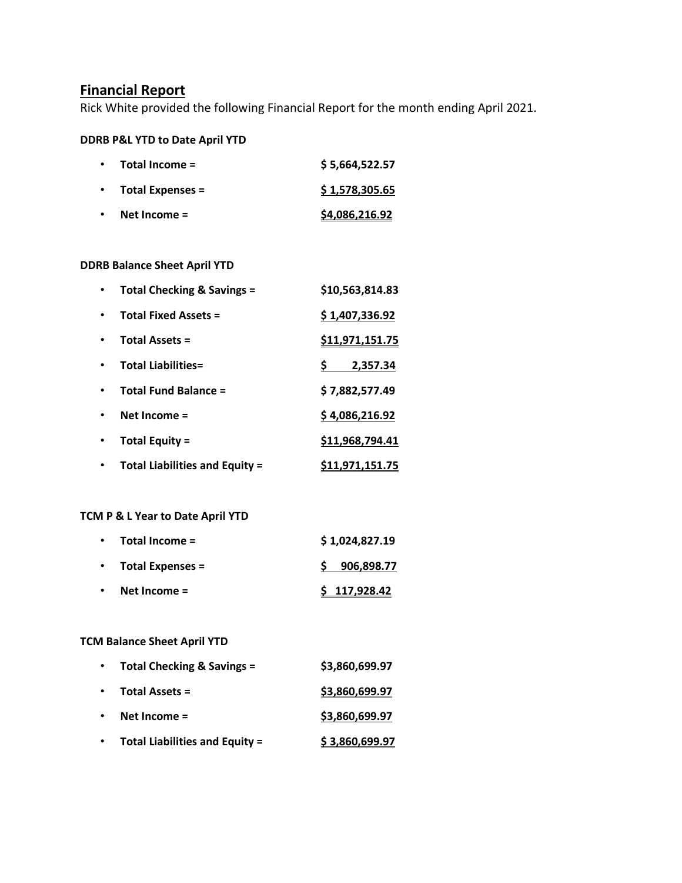## **Financial Report**

Rick White provided the following Financial Report for the month ending April 2021.

#### **DDRB P&L YTD to Date April YTD**

| $\bullet$ | Total Income =          | \$5,664,522.57 |
|-----------|-------------------------|----------------|
| $\bullet$ | <b>Total Expenses =</b> | \$1,578,305.65 |
| $\bullet$ | Net Income $=$          | S4,086,216.92  |

## **DDRB Balance Sheet April YTD**

| Total Checking & Savings =            | \$10,563,814.83        |
|---------------------------------------|------------------------|
| <b>Total Fixed Assets =</b>           | \$1,407,336.92         |
| <b>Total Assets =</b>                 | <u>\$11,971,151.75</u> |
| <b>Total Liabilities=</b>             | 2,357.34               |
| <b>Total Fund Balance =</b>           | \$7,882,577.49         |
| Net Income $=$                        | \$4,086,216.92         |
| <b>Total Equity =</b>                 | \$11,968,794.41        |
| <b>Total Liabilities and Equity =</b> | \$11,971,151.75        |

## **TCM P & L Year to Date April YTD**

| $\bullet$ | Total Income =          | \$1,024,827.19 |  |
|-----------|-------------------------|----------------|--|
| $\bullet$ | <b>Total Expenses =</b> | 906,898.77     |  |
| $\bullet$ | Net Income $=$          | \$117,928.42   |  |

## **TCM Balance Sheet April YTD**

| $\bullet$ | <b>Total Checking &amp; Savings =</b> | \$3,860,699.97 |
|-----------|---------------------------------------|----------------|
| $\bullet$ | <b>Total Assets =</b>                 | \$3,860,699.97 |
| $\bullet$ | Net Income =                          | \$3,860,699.97 |
| $\bullet$ | <b>Total Liabilities and Equity =</b> | \$3,860,699.97 |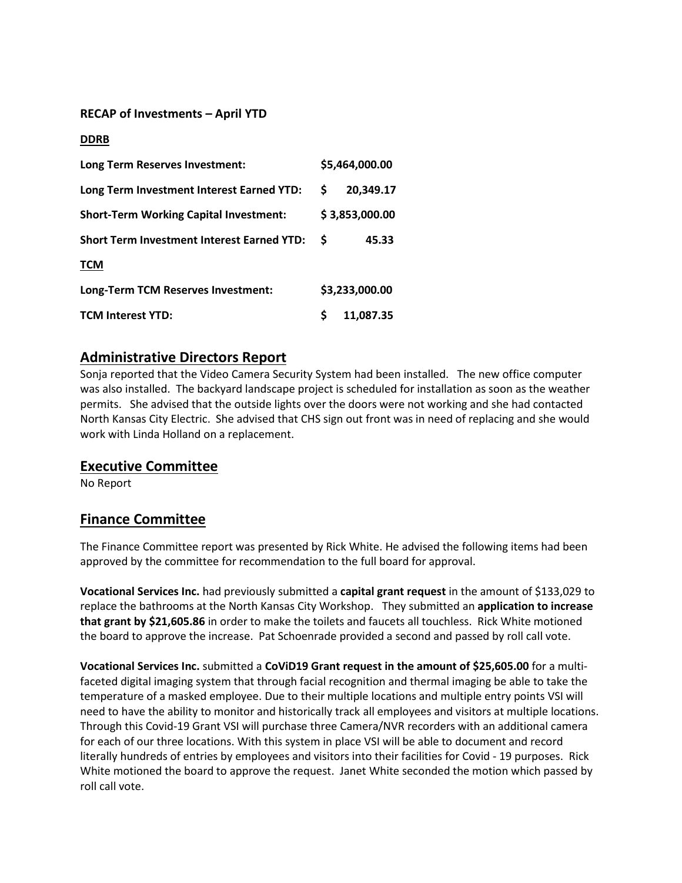#### **RECAP of Investments – April YTD**

#### **DDRB**

| Long Term Reserves Investment:                    |   | \$5,464,000.00 |
|---------------------------------------------------|---|----------------|
| Long Term Investment Interest Earned YTD:         | S | 20,349.17      |
| <b>Short-Term Working Capital Investment:</b>     |   | \$3,853,000.00 |
| <b>Short Term Investment Interest Earned YTD:</b> | S | 45.33          |
| <b>TCM</b>                                        |   |                |
| Long-Term TCM Reserves Investment:                |   | \$3,233,000.00 |
| <b>TCM Interest YTD:</b>                          |   | 11,087.35      |

## **Administrative Directors Report**

Sonja reported that the Video Camera Security System had been installed. The new office computer was also installed. The backyard landscape project is scheduled for installation as soon as the weather permits. She advised that the outside lights over the doors were not working and she had contacted North Kansas City Electric. She advised that CHS sign out front was in need of replacing and she would work with Linda Holland on a replacement.

## **Executive Committee**

No Report

## **Finance Committee**

The Finance Committee report was presented by Rick White. He advised the following items had been approved by the committee for recommendation to the full board for approval.

**Vocational Services Inc.** had previously submitted a **capital grant request** in the amount of \$133,029 to replace the bathrooms at the North Kansas City Workshop. They submitted an **application to increase that grant by \$21,605.86** in order to make the toilets and faucets all touchless. Rick White motioned the board to approve the increase. Pat Schoenrade provided a second and passed by roll call vote.

**Vocational Services Inc.** submitted a **CoViD19 Grant request in the amount of \$25,605.00** for a multifaceted digital imaging system that through facial recognition and thermal imaging be able to take the temperature of a masked employee. Due to their multiple locations and multiple entry points VSI will need to have the ability to monitor and historically track all employees and visitors at multiple locations. Through this Covid-19 Grant VSI will purchase three Camera/NVR recorders with an additional camera for each of our three locations. With this system in place VSI will be able to document and record literally hundreds of entries by employees and visitors into their facilities for Covid - 19 purposes. Rick White motioned the board to approve the request. Janet White seconded the motion which passed by roll call vote.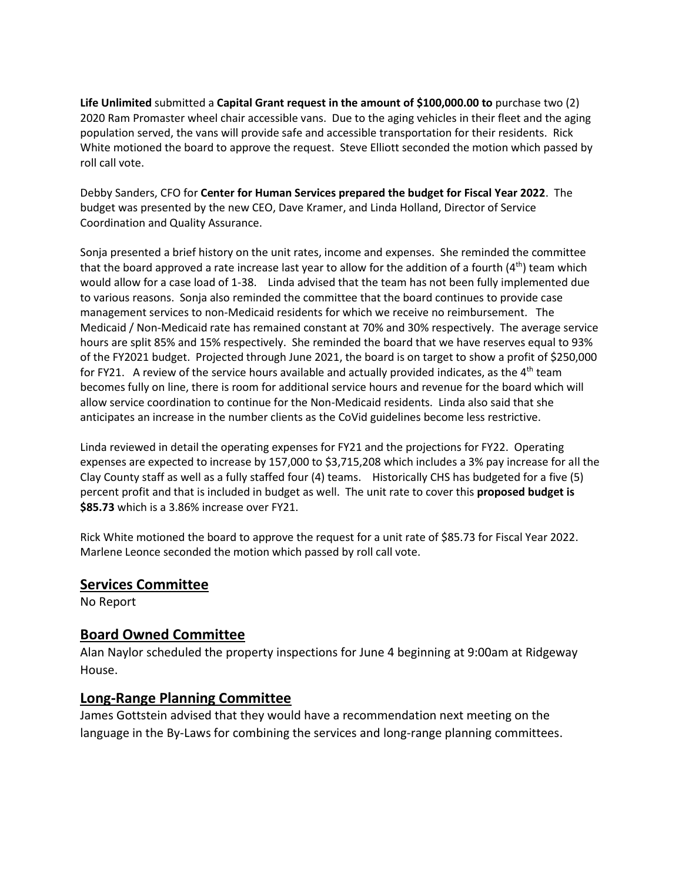**Life Unlimited** submitted a **Capital Grant request in the amount of \$100,000.00 to** purchase two (2) 2020 Ram Promaster wheel chair accessible vans. Due to the aging vehicles in their fleet and the aging population served, the vans will provide safe and accessible transportation for their residents. Rick White motioned the board to approve the request. Steve Elliott seconded the motion which passed by roll call vote.

Debby Sanders, CFO for **Center for Human Services prepared the budget for Fiscal Year 2022**. The budget was presented by the new CEO, Dave Kramer, and Linda Holland, Director of Service Coordination and Quality Assurance.

Sonja presented a brief history on the unit rates, income and expenses. She reminded the committee that the board approved a rate increase last year to allow for the addition of a fourth  $(4<sup>th</sup>)$  team which would allow for a case load of 1-38. Linda advised that the team has not been fully implemented due to various reasons. Sonja also reminded the committee that the board continues to provide case management services to non-Medicaid residents for which we receive no reimbursement. The Medicaid / Non-Medicaid rate has remained constant at 70% and 30% respectively. The average service hours are split 85% and 15% respectively. She reminded the board that we have reserves equal to 93% of the FY2021 budget. Projected through June 2021, the board is on target to show a profit of \$250,000 for FY21. A review of the service hours available and actually provided indicates, as the  $4<sup>th</sup>$  team becomes fully on line, there is room for additional service hours and revenue for the board which will allow service coordination to continue for the Non-Medicaid residents. Linda also said that she anticipates an increase in the number clients as the CoVid guidelines become less restrictive.

Linda reviewed in detail the operating expenses for FY21 and the projections for FY22. Operating expenses are expected to increase by 157,000 to \$3,715,208 which includes a 3% pay increase for all the Clay County staff as well as a fully staffed four (4) teams. Historically CHS has budgeted for a five (5) percent profit and that is included in budget as well. The unit rate to cover this **proposed budget is \$85.73** which is a 3.86% increase over FY21.

Rick White motioned the board to approve the request for a unit rate of \$85.73 for Fiscal Year 2022. Marlene Leonce seconded the motion which passed by roll call vote.

## **Services Committee**

No Report

## **Board Owned Committee**

Alan Naylor scheduled the property inspections for June 4 beginning at 9:00am at Ridgeway House.

## **Long-Range Planning Committee**

James Gottstein advised that they would have a recommendation next meeting on the language in the By-Laws for combining the services and long-range planning committees.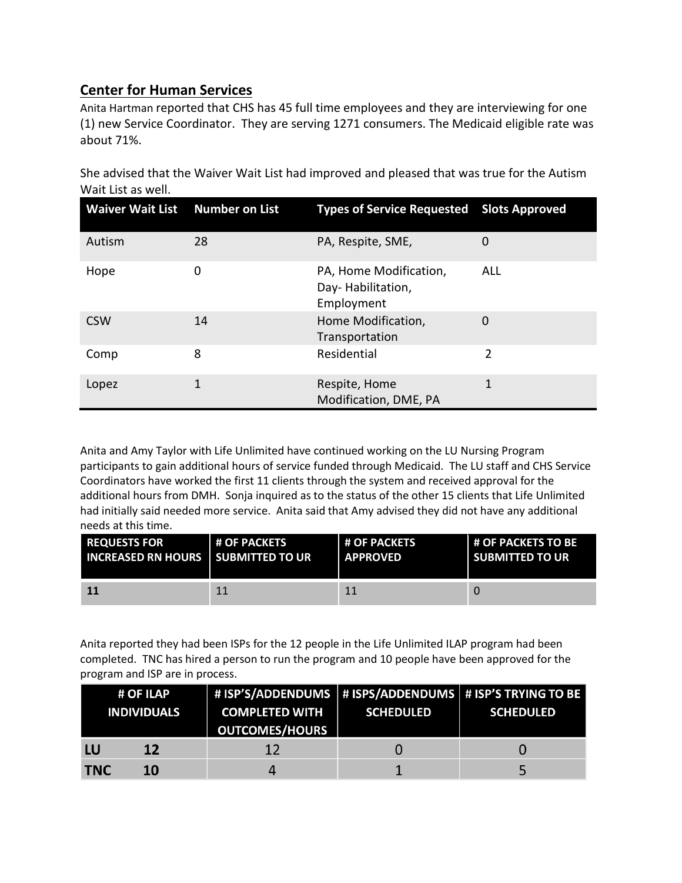# **Center for Human Services**

Anita Hartman reported that CHS has 45 full time employees and they are interviewing for one (1) new Service Coordinator. They are serving 1271 consumers. The Medicaid eligible rate was about 71%.

| Waiver Wait List Number on List |    | <b>Types of Service Requested Slots Approved</b>          |     |
|---------------------------------|----|-----------------------------------------------------------|-----|
| Autism                          | 28 | PA, Respite, SME,                                         | 0   |
| Hope                            | 0  | PA, Home Modification,<br>Day-Habilitation,<br>Employment | ALL |
| <b>CSW</b>                      | 14 | Home Modification,<br>Transportation                      | 0   |
| Comp                            | 8  | Residential                                               | 2   |
| Lopez                           | 1  | Respite, Home<br>Modification, DME, PA                    | 1   |

She advised that the Waiver Wait List had improved and pleased that was true for the Autism Wait List as well.

Anita and Amy Taylor with Life Unlimited have continued working on the LU Nursing Program participants to gain additional hours of service funded through Medicaid. The LU staff and CHS Service Coordinators have worked the first 11 clients through the system and received approval for the additional hours from DMH. Sonja inquired as to the status of the other 15 clients that Life Unlimited had initially said needed more service. Anita said that Amy advised they did not have any additional needs at this time.

| <b>REQUESTS FOR</b>                         | <b># OF PACKETS</b> | <b>H OF PACKETS</b> | <b>L# OF PACKETS TO BE</b> |
|---------------------------------------------|---------------------|---------------------|----------------------------|
| <b>INCREASED RN HOURS   SUBMITTED TO UR</b> |                     | <b>APPROVED</b>     | <b>SUBMITTED TO UR</b>     |
| <b>11</b>                                   | 11                  |                     |                            |

Anita reported they had been ISPs for the 12 people in the Life Unlimited ILAP program had been completed. TNC has hired a person to run the program and 10 people have been approved for the program and ISP are in process.

|            | # OF ILAP<br><b>INDIVIDUALS</b> | # ISP'S/ADDENDUMS   # ISPS/ADDENDUMS   # ISP'S TRYING TO BE<br><b>COMPLETED WITH</b><br><b>OUTCOMES/HOURS</b> | <b>SCHEDULED</b> | <b>SCHEDULED</b> |
|------------|---------------------------------|---------------------------------------------------------------------------------------------------------------|------------------|------------------|
| LU         | 12                              | 12                                                                                                            |                  |                  |
| <b>TNC</b> | 10                              |                                                                                                               |                  |                  |